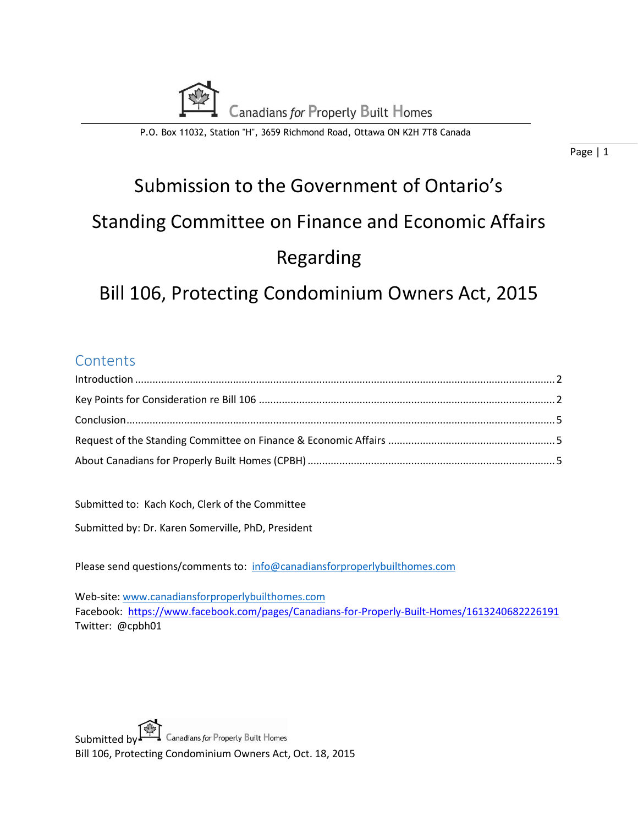

P.O. Box 11032, Station "H", 3659 Richmond Road, Ottawa ON K2H 7T8 Canada

Page | 1

# Submission to the Government of Ontario's Standing Committee on Finance and Economic Affairs Regarding

## Bill 106, Protecting Condominium Owners Act, 2015

## **Contents**

Submitted to: Kach Koch, Clerk of the Committee

Submitted by: Dr. Karen Somerville, PhD, President

Please send questions/comments to: [info@canadiansforproperlybuilthomes.com](mailto:info@canadiansforproperlybuilthomes.com)

Web-site: [www.canadiansforproperlybuilthomes.com](http://www.canadiansforproperlybuilthomes.com/) Facebook:<https://www.facebook.com/pages/Canadians-for-Properly-Built-Homes/1613240682226191> Twitter: @cpbh01

Submitted by  $\mathbf{F}$  Canadians for Properly Built Homes Bill 106, Protecting Condominium Owners Act, Oct. 18, 2015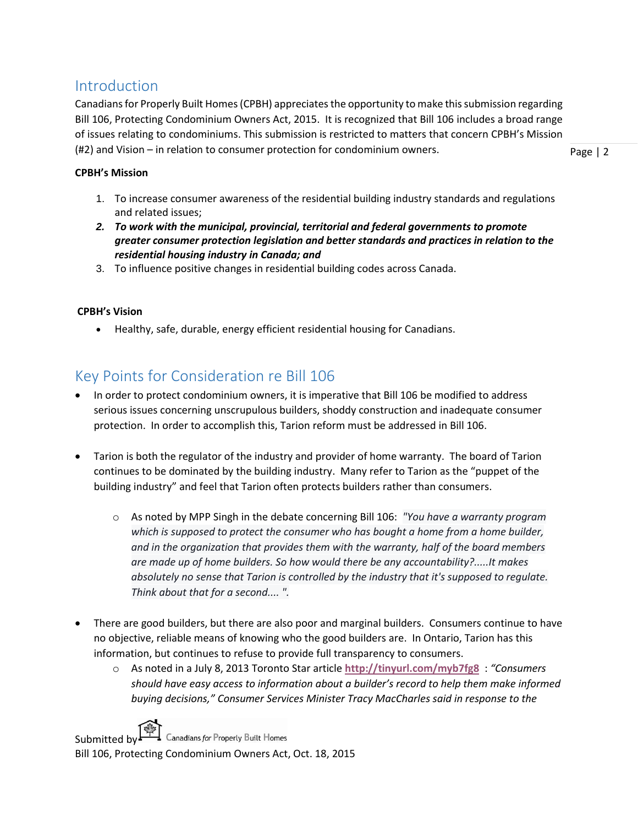## <span id="page-1-0"></span>Introduction

Canadians for Properly Built Homes (CPBH) appreciates the opportunity to make this submission regarding Bill 106, Protecting Condominium Owners Act, 2015. It is recognized that Bill 106 includes a broad range of issues relating to condominiums. This submission is restricted to matters that concern CPBH's Mission (#2) and Vision – in relation to consumer protection for condominium owners.

Page | 2

#### **CPBH's Mission**

- 1. To increase consumer awareness of the residential building industry standards and regulations and related issues;
- *2. To work with the municipal, provincial, territorial and federal governments to promote greater consumer protection legislation and better standards and practices in relation to the residential housing industry in Canada; and*
- 3. To influence positive changes in residential building codes across Canada.

#### **CPBH's Vision**

Healthy, safe, durable, energy efficient residential housing for Canadians.

## <span id="page-1-1"></span>Key Points for Consideration re Bill 106

- In order to protect condominium owners, it is imperative that Bill 106 be modified to address serious issues concerning unscrupulous builders, shoddy construction and inadequate consumer protection. In order to accomplish this, Tarion reform must be addressed in Bill 106.
- Tarion is both the regulator of the industry and provider of home warranty. The board of Tarion continues to be dominated by the building industry. Many refer to Tarion as the "puppet of the building industry" and feel that Tarion often protects builders rather than consumers.
	- o As noted by MPP Singh in the debate concerning Bill 106: *"You have a warranty program which is supposed to protect the consumer who has bought a home from a home builder, and in the organization that provides them with the warranty, half of the board members are made up of home builders. So how would there be any accountability?.....It makes absolutely no sense that Tarion is controlled by the industry that it's supposed to regulate. Think about that for a second.... ".*
- There are good builders, but there are also poor and marginal builders. Consumers continue to have no objective, reliable means of knowing who the good builders are. In Ontario, Tarion has this information, but continues to refuse to provide full transparency to consumers.
	- o As noted in a July 8, 2013 Toronto Star article **<http://tinyurl.com/myb7fg8>** : *"Consumers should have easy access to information about a builder's record to help them make informed buying decisions," Consumer Services Minister Tracy MacCharles said in response to the*

Submitted by  $\begin{array}{ccc} \stackrel{\cdots}{\longrightarrow} \end{array}$  Canadians for Properly Built Homes Bill 106, Protecting Condominium Owners Act, Oct. 18, 2015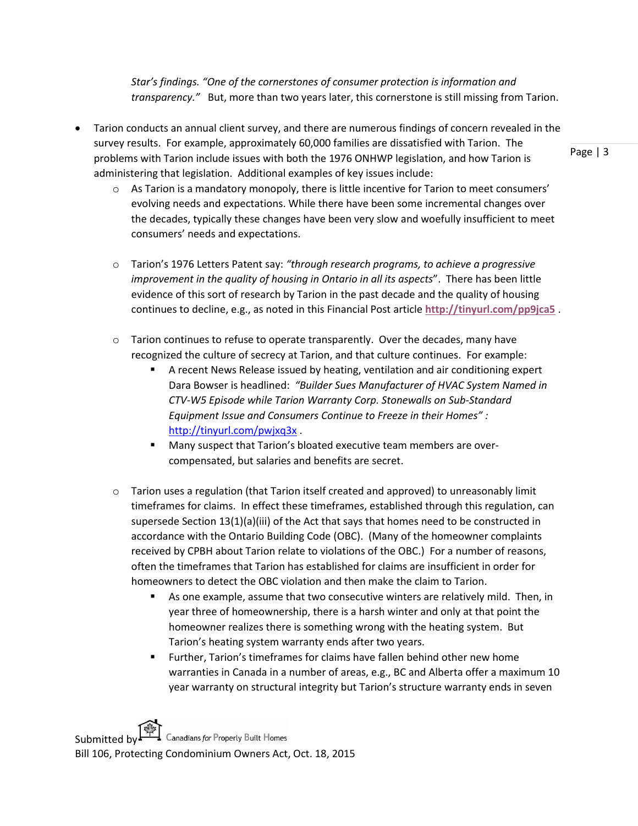*Star's findings. "One of the cornerstones of consumer protection is information and transparency."* But, more than two years later, this cornerstone is still missing from Tarion.

- Tarion conducts an annual client survey, and there are numerous findings of concern revealed in the survey results. For example, approximately 60,000 families are dissatisfied with Tarion. The problems with Tarion include issues with both the 1976 ONHWP legislation, and how Tarion is administering that legislation. Additional examples of key issues include:
	- $\circ$  As Tarion is a mandatory monopoly, there is little incentive for Tarion to meet consumers' evolving needs and expectations. While there have been some incremental changes over the decades, typically these changes have been very slow and woefully insufficient to meet consumers' needs and expectations.
	- o Tarion's 1976 Letters Patent say: *"through research programs, to achieve a progressive improvement in the quality of housing in Ontario in all its aspects*". There has been little evidence of this sort of research by Tarion in the past decade and the quality of housing continues to decline, e.g., as noted in this Financial Post article **<http://tinyurl.com/pp9jca5>** .
	- $\circ$  Tarion continues to refuse to operate transparently. Over the decades, many have recognized the culture of secrecy at Tarion, and that culture continues. For example:
		- A recent News Release issued by heating, ventilation and air conditioning expert Dara Bowser is headlined: *"Builder Sues Manufacturer of HVAC System Named in CTV-W5 Episode while Tarion Warranty Corp. Stonewalls on Sub-Standard Equipment Issue and Consumers Continue to Freeze in their Homes" :* <http://tinyurl.com/pwjxq3x>
		- **Many suspect that Tarion's bloated executive team members are over**compensated, but salaries and benefits are secret.
	- $\circ$  Tarion uses a regulation (that Tarion itself created and approved) to unreasonably limit timeframes for claims. In effect these timeframes, established through this regulation, can supersede Section 13(1)(a)(iii) of the Act that says that homes need to be constructed in accordance with the Ontario Building Code (OBC). (Many of the homeowner complaints received by CPBH about Tarion relate to violations of the OBC.) For a number of reasons, often the timeframes that Tarion has established for claims are insufficient in order for homeowners to detect the OBC violation and then make the claim to Tarion.
		- As one example, assume that two consecutive winters are relatively mild. Then, in year three of homeownership, there is a harsh winter and only at that point the homeowner realizes there is something wrong with the heating system. But Tarion's heating system warranty ends after two years.
		- Further, Tarion's timeframes for claims have fallen behind other new home warranties in Canada in a number of areas, e.g., BC and Alberta offer a maximum 10 year warranty on structural integrity but Tarion's structure warranty ends in seven

Submitted by  $\begin{array}{ccc} \stackrel{\cdots}{\longrightarrow} \end{array}$  Canadians for Properly Built Homes Bill 106, Protecting Condominium Owners Act, Oct. 18, 2015 Page | 3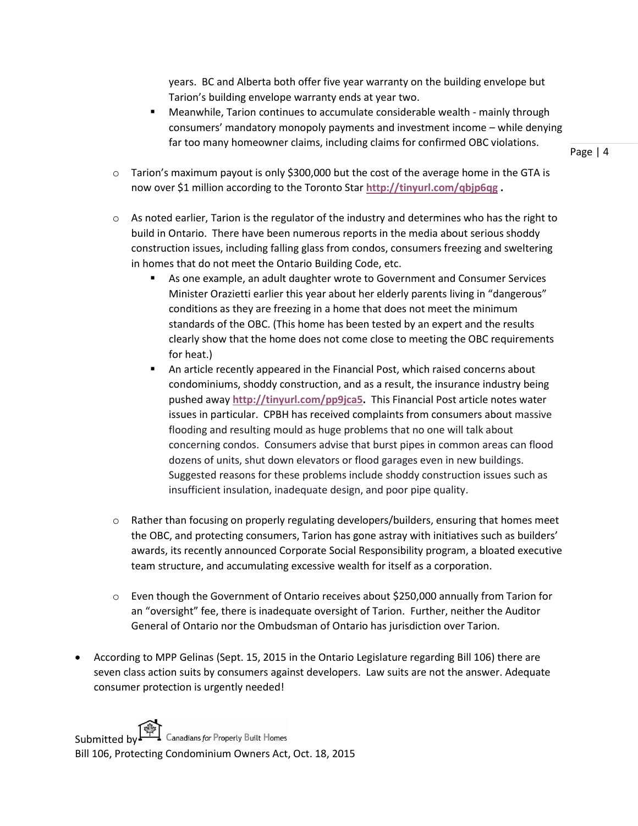years. BC and Alberta both offer five year warranty on the building envelope but Tarion's building envelope warranty ends at year two.

 Meanwhile, Tarion continues to accumulate considerable wealth - mainly through consumers' mandatory monopoly payments and investment income – while denying far too many homeowner claims, including claims for confirmed OBC violations.

Page | 4

- $\circ$  Tarion's maximum payout is only \$300,000 but the cost of the average home in the GTA is now over \$1 million according to the Toronto Star **<http://tinyurl.com/qbjp6qg> .**
- $\circ$  As noted earlier, Tarion is the regulator of the industry and determines who has the right to build in Ontario. There have been numerous reports in the media about serious shoddy construction issues, including falling glass from condos, consumers freezing and sweltering in homes that do not meet the Ontario Building Code, etc.
	- As one example, an adult daughter wrote to Government and Consumer Services Minister Orazietti earlier this year about her elderly parents living in "dangerous" conditions as they are freezing in a home that does not meet the minimum standards of the OBC. (This home has been tested by an expert and the results clearly show that the home does not come close to meeting the OBC requirements for heat.)
	- An article recently appeared in the Financial Post, which raised concerns about condominiums, shoddy construction, and as a result, the insurance industry being pushed away **[http://tinyurl.com/pp9jca5.](http://tinyurl.com/pp9jca5)** This Financial Post article notes water issues in particular. CPBH has received complaints from consumers about massive flooding and resulting mould as huge problems that no one will talk about concerning condos. Consumers advise that burst pipes in common areas can flood dozens of units, shut down elevators or flood garages even in new buildings. Suggested reasons for these problems include shoddy construction issues such as insufficient insulation, inadequate design, and poor pipe quality.
- $\circ$  Rather than focusing on properly regulating developers/builders, ensuring that homes meet the OBC, and protecting consumers, Tarion has gone astray with initiatives such as builders' awards, its recently announced Corporate Social Responsibility program, a bloated executive team structure, and accumulating excessive wealth for itself as a corporation.
- o Even though the Government of Ontario receives about \$250,000 annually from Tarion for an "oversight" fee, there is inadequate oversight of Tarion. Further, neither the Auditor General of Ontario nor the Ombudsman of Ontario has jurisdiction over Tarion.
- According to MPP Gelinas (Sept. 15, 2015 in the Ontario Legislature regarding Bill 106) there are seven class action suits by consumers against developers. Law suits are not the answer. Adequate consumer protection is urgently needed!

Submitted by  $\begin{array}{ccc} \stackrel{\cdots}{\longrightarrow} \end{array}$  Canadians for Properly Built Homes Bill 106, Protecting Condominium Owners Act, Oct. 18, 2015